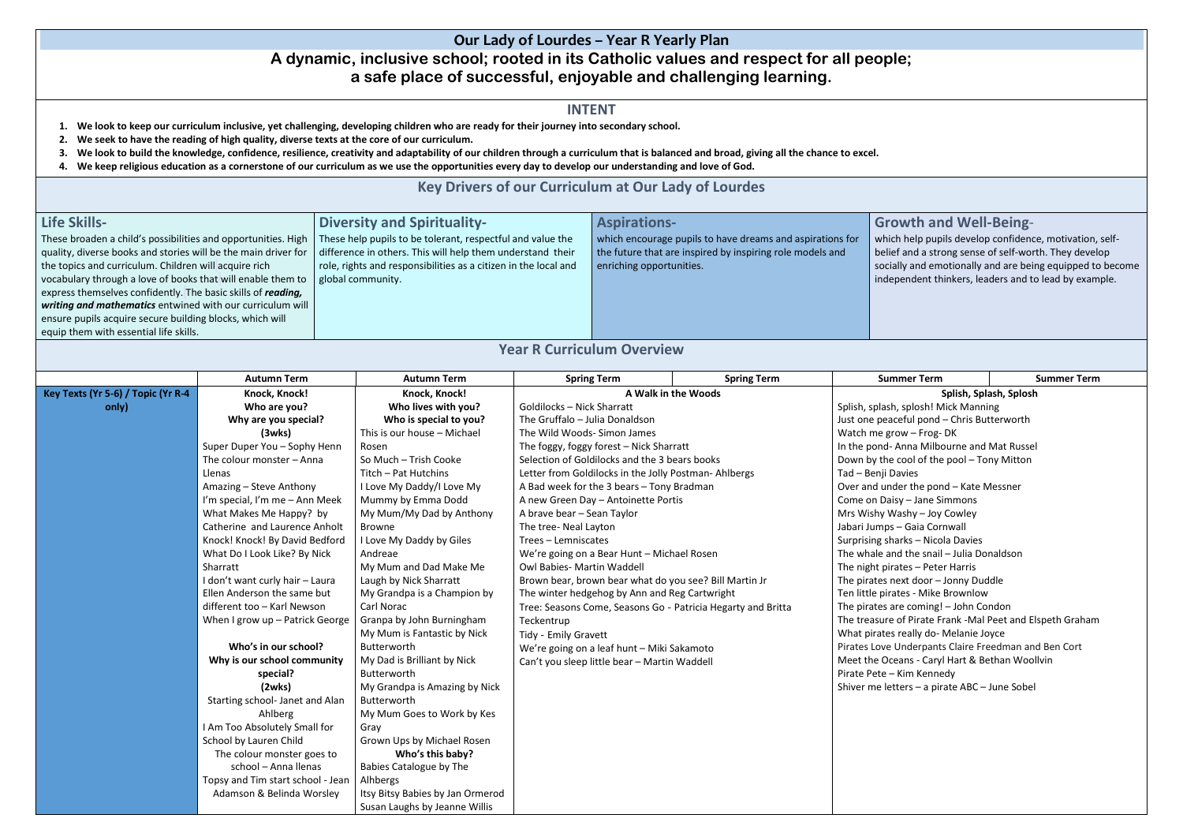## **Our Lady of Lourdes – Year R Yearly Plan**

# **A dynamic, inclusive school; rooted in its Catholic values and respect for all people; a safe place of successful, enjoyable and challenging learning.**

#### **INTENT**

- **1. We look to keep our curriculum inclusive, yet challenging, developing children who are ready for their journey into secondary school.**
- **2. We seek to have the reading of high quality, diverse texts at the core of our curriculum.**
- **3. We look to build the knowledge, confidence, resilience, creativity and adaptability of our children through a curriculum that is balanced and broad, giving all the chance to excel.**
- **4. We keep religious education as a cornerstone of our curriculum as we use the opportunities every day to develop our understanding and love of God.**

## **Key Drivers of our Curriculum at Our Lady of Lourdes**

| <b>Life Skills-</b>                                            | <b>Diversity and Spirituality-</b>                              | <b>Aspirations-</b>                                       | Gro   |
|----------------------------------------------------------------|-----------------------------------------------------------------|-----------------------------------------------------------|-------|
| These broaden a child's possibilities and opportunities. High  | These help pupils to be tolerant, respectful and value the      | which encourage pupils to have dreams and aspirations for | whic  |
| quality, diverse books and stories will be the main driver for | difference in others. This will help them understand their      | the future that are inspired by inspiring role models and | belie |
| the topics and curriculum. Children will acquire rich          | role, rights and responsibilities as a citizen in the local and | enriching opportunities.                                  | socia |
| vocabulary through a love of books that will enable them to    | global community.                                               |                                                           | inde  |
| express themselves confidently. The basic skills of reading,   |                                                                 |                                                           |       |
| writing and mathematics entwined with our curriculum will      |                                                                 |                                                           |       |
| ensure pupils acquire secure building blocks, which will       |                                                                 |                                                           |       |
| equip them with essential life skills.                         |                                                                 |                                                           |       |
|                                                                |                                                                 |                                                           |       |

### **Year R Curriculum Overview**

|                                                                                                           | <b>Autumn Term</b>                                                                                         | <b>Autumn Term</b>               | <b>Spring Term</b>                                     | <b>Spring Term</b>                                        | <b>Summer Term</b>                            | <b>Summer Term</b> |
|-----------------------------------------------------------------------------------------------------------|------------------------------------------------------------------------------------------------------------|----------------------------------|--------------------------------------------------------|-----------------------------------------------------------|-----------------------------------------------|--------------------|
| Key Texts (Yr 5-6) / Topic (Yr R-4                                                                        | Knock, Knock!                                                                                              | Knock, Knock!                    | A Walk in the Woods                                    |                                                           | Splish, Splash, Splosh                        |                    |
| only)                                                                                                     | Who are you?                                                                                               | Who lives with you?              | <b>Goldilocks - Nick Sharratt</b>                      |                                                           | Splish, splash, splosh! Mick Manning          |                    |
|                                                                                                           | Why are you special?                                                                                       | Who is special to you?           | The Gruffalo - Julia Donaldson                         |                                                           | Just one peaceful pond - Chris Butterworth    |                    |
|                                                                                                           | (3wks)                                                                                                     | This is our house - Michael      | The Wild Woods- Simon James                            |                                                           | Watch me grow - Frog-DK                       |                    |
|                                                                                                           | Super Duper You - Sophy Henn                                                                               | Rosen                            | The foggy, foggy forest - Nick Sharratt                |                                                           | In the pond-Anna Milbourne and Mat Russel     |                    |
|                                                                                                           | The colour monster - Anna                                                                                  | So Much - Trish Cooke            | Selection of Goldilocks and the 3 bears books          |                                                           | Down by the cool of the pool - Tony Mitton    |                    |
|                                                                                                           | Llenas                                                                                                     | Titch - Pat Hutchins             | Letter from Goldilocks in the Jolly Postman-Ahlbergs   |                                                           | Tad - Benji Davies                            |                    |
|                                                                                                           | Amazing - Steve Anthony                                                                                    | I Love My Daddy/I Love My        | A Bad week for the 3 bears - Tony Bradman              |                                                           | Over and under the pond - Kate Messner        |                    |
|                                                                                                           | I'm special, I'm me - Ann Meek                                                                             | Mummy by Emma Dodd               | A new Green Day - Antoinette Portis                    |                                                           | Come on Daisy - Jane Simmons                  |                    |
|                                                                                                           | What Makes Me Happy? by                                                                                    | My Mum/My Dad by Anthony         | A brave bear - Sean Taylor                             |                                                           | Mrs Wishy Washy - Joy Cowley                  |                    |
|                                                                                                           | Catherine and Laurence Anholt                                                                              | Browne                           | The tree- Neal Layton                                  |                                                           | Jabari Jumps - Gaia Cornwall                  |                    |
|                                                                                                           | Knock! Knock! By David Bedford                                                                             | I Love My Daddy by Giles         | Trees - Lemniscates                                    |                                                           | Surprising sharks - Nicola Davies             |                    |
|                                                                                                           | What Do I Look Like? By Nick                                                                               | Andreae                          | We're going on a Bear Hunt - Michael Rosen             |                                                           | The whale and the snail - Julia Donaldson     |                    |
|                                                                                                           | Sharratt                                                                                                   | My Mum and Dad Make Me           | Owl Babies- Martin Waddell                             |                                                           | The night pirates - Peter Harris              |                    |
| I don't want curly hair - Laura                                                                           |                                                                                                            | Laugh by Nick Sharratt           | Brown bear, brown bear what do you see? Bill Martin Jr |                                                           | The pirates next door - Jonny Duddle          |                    |
|                                                                                                           | Ellen Anderson the same but                                                                                | My Grandpa is a Champion by      | The winter hedgehog by Ann and Reg Cartwright          |                                                           | Ten little pirates - Mike Brownlow            |                    |
| different too - Karl Newson<br>Carl Norac<br>Tree: Seasons Come, Seasons Go - Patricia Hegarty and Britta |                                                                                                            |                                  | The pirates are coming! - John Condon                  |                                                           |                                               |                    |
| Granpa by John Burningham<br>When I grow up - Patrick George<br>Teckentrup                                |                                                                                                            |                                  |                                                        | The treasure of Pirate Frank -Mal Peet and Elspeth Graham |                                               |                    |
|                                                                                                           | My Mum is Fantastic by Nick<br>Tidy - Emily Gravett                                                        |                                  | What pirates really do- Melanie Joyce                  |                                                           |                                               |                    |
|                                                                                                           | Who's in our school?<br>Butterworth<br>We're going on a leaf hunt - Miki Sakamoto                          |                                  | Pirates Love Underpants Claire Freedman and Ben Cort   |                                                           |                                               |                    |
|                                                                                                           | Why is our school community<br>My Dad is Brilliant by Nick<br>Can't you sleep little bear - Martin Waddell |                                  | Meet the Oceans - Caryl Hart & Bethan Woollvin         |                                                           |                                               |                    |
|                                                                                                           | special?                                                                                                   | Butterworth                      |                                                        |                                                           | Pirate Pete - Kim Kennedy                     |                    |
|                                                                                                           | (2wks)                                                                                                     | My Grandpa is Amazing by Nick    |                                                        |                                                           | Shiver me letters - a pirate ABC - June Sobel |                    |
|                                                                                                           | Starting school- Janet and Alan                                                                            | Butterworth                      |                                                        |                                                           |                                               |                    |
|                                                                                                           | Ahlberg                                                                                                    | My Mum Goes to Work by Kes       |                                                        |                                                           |                                               |                    |
|                                                                                                           | I Am Too Absolutely Small for                                                                              | Gray                             |                                                        |                                                           |                                               |                    |
|                                                                                                           | School by Lauren Child                                                                                     | Grown Ups by Michael Rosen       |                                                        |                                                           |                                               |                    |
|                                                                                                           | The colour monster goes to                                                                                 | Who's this baby?                 |                                                        |                                                           |                                               |                    |
|                                                                                                           | school - Anna Ilenas<br>Babies Catalogue by The<br>Topsy and Tim start school - Jean<br>Alhbergs           |                                  |                                                        |                                                           |                                               |                    |
|                                                                                                           |                                                                                                            |                                  |                                                        |                                                           |                                               |                    |
|                                                                                                           | Adamson & Belinda Worsley                                                                                  | Itsy Bitsy Babies by Jan Ormerod |                                                        |                                                           |                                               |                    |
|                                                                                                           |                                                                                                            | Susan Laughs by Jeanne Willis    |                                                        |                                                           |                                               |                    |

|                                                                                                                                                                                                                                                                                                                                                                                                                                                                                                                                                                                                                                                                                                                                                                                                                                                                                                                                                |                                                                                                                                                                                                                                                                         | : το excel.        |  |  |  |  |  |  |
|------------------------------------------------------------------------------------------------------------------------------------------------------------------------------------------------------------------------------------------------------------------------------------------------------------------------------------------------------------------------------------------------------------------------------------------------------------------------------------------------------------------------------------------------------------------------------------------------------------------------------------------------------------------------------------------------------------------------------------------------------------------------------------------------------------------------------------------------------------------------------------------------------------------------------------------------|-------------------------------------------------------------------------------------------------------------------------------------------------------------------------------------------------------------------------------------------------------------------------|--------------------|--|--|--|--|--|--|
|                                                                                                                                                                                                                                                                                                                                                                                                                                                                                                                                                                                                                                                                                                                                                                                                                                                                                                                                                |                                                                                                                                                                                                                                                                         |                    |  |  |  |  |  |  |
| ıs for<br>١d                                                                                                                                                                                                                                                                                                                                                                                                                                                                                                                                                                                                                                                                                                                                                                                                                                                                                                                                   | <b>Growth and Well-Being-</b><br>which help pupils develop confidence, motivation, self-<br>belief and a strong sense of self-worth. They develop<br>socially and emotionally and are being equipped to become<br>independent thinkers, leaders and to lead by example. |                    |  |  |  |  |  |  |
|                                                                                                                                                                                                                                                                                                                                                                                                                                                                                                                                                                                                                                                                                                                                                                                                                                                                                                                                                |                                                                                                                                                                                                                                                                         |                    |  |  |  |  |  |  |
|                                                                                                                                                                                                                                                                                                                                                                                                                                                                                                                                                                                                                                                                                                                                                                                                                                                                                                                                                | <b>Summer Term</b>                                                                                                                                                                                                                                                      | <b>Summer Term</b> |  |  |  |  |  |  |
| Splish, Splash, Splosh<br>Splish, splash, splosh! Mick Manning<br>Just one peaceful pond - Chris Butterworth<br>Watch me grow - Frog-DK<br>In the pond- Anna Milbourne and Mat Russel<br>Down by the cool of the pool - Tony Mitton<br>Tad - Benji Davies<br>Over and under the pond - Kate Messner<br>Come on Daisy - Jane Simmons<br>Mrs Wishy Washy - Joy Cowley<br>Jabari Jumps - Gaia Cornwall<br>Surprising sharks - Nicola Davies<br>The whale and the snail - Julia Donaldson<br>The night pirates - Peter Harris<br>The pirates next door - Jonny Duddle<br>Ten little pirates - Mike Brownlow<br>The pirates are coming! - John Condon<br>The treasure of Pirate Frank -Mal Peet and Elspeth Graham<br>What pirates really do- Melanie Joyce<br>Pirates Love Underpants Claire Freedman and Ben Cort<br>Meet the Oceans - Caryl Hart & Bethan Woollvin<br>Pirate Pete - Kim Kennedy<br>Shiver me letters - a pirate ABC - June Sobel |                                                                                                                                                                                                                                                                         |                    |  |  |  |  |  |  |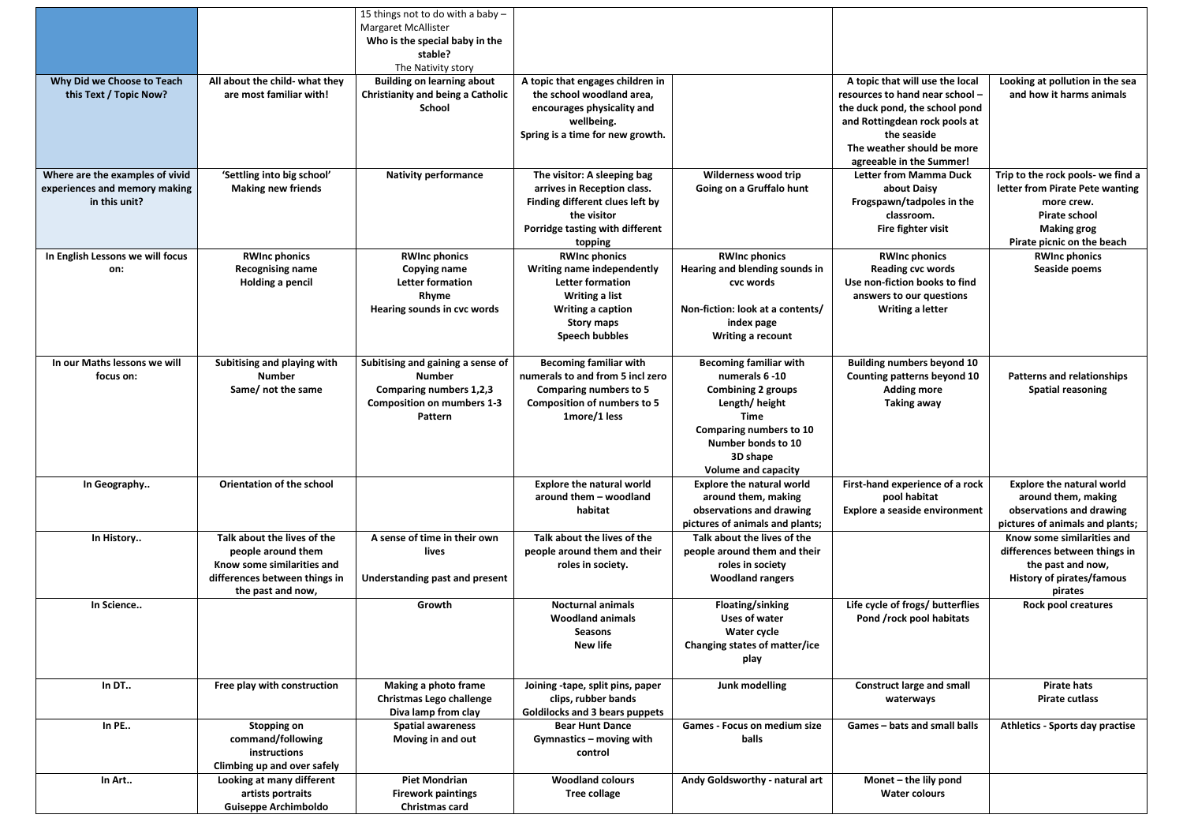|                                                                                   |                                                                                                                                       | 15 things not to do with a baby $-$<br><b>Margaret McAllister</b><br>Who is the special baby in the<br>stable?<br>The Nativity story |                                                                                                                                                                                         |                                                                                                                                                                                                         |                                                                                                                                                                                                                |                                                                                                                                                                |
|-----------------------------------------------------------------------------------|---------------------------------------------------------------------------------------------------------------------------------------|--------------------------------------------------------------------------------------------------------------------------------------|-----------------------------------------------------------------------------------------------------------------------------------------------------------------------------------------|---------------------------------------------------------------------------------------------------------------------------------------------------------------------------------------------------------|----------------------------------------------------------------------------------------------------------------------------------------------------------------------------------------------------------------|----------------------------------------------------------------------------------------------------------------------------------------------------------------|
| Why Did we Choose to Teach<br>this Text / Topic Now?                              | All about the child- what they<br>are most familiar with!                                                                             | <b>Building on learning about</b><br><b>Christianity and being a Catholic</b><br><b>School</b>                                       | A topic that engages children in<br>the school woodland area,<br>encourages physicality and<br>wellbeing.<br>Spring is a time for new growth.                                           |                                                                                                                                                                                                         | A topic that will use the local<br>resources to hand near school -<br>the duck pond, the school pond<br>and Rottingdean rock pools at<br>the seaside<br>The weather should be more<br>agreeable in the Summer! | Looking at pollution in the sea<br>and how it harms animals                                                                                                    |
| Where are the examples of vivid<br>experiences and memory making<br>in this unit? | 'Settling into big school'<br><b>Making new friends</b>                                                                               | <b>Nativity performance</b>                                                                                                          | The visitor: A sleeping bag<br>arrives in Reception class.<br>Finding different clues left by<br>the visitor<br>Porridge tasting with different<br>topping                              | <b>Wilderness wood trip</b><br>Going on a Gruffalo hunt                                                                                                                                                 | <b>Letter from Mamma Duck</b><br>about Daisy<br>Frogspawn/tadpoles in the<br>classroom.<br>Fire fighter visit                                                                                                  | Trip to the rock pools- we find a<br>letter from Pirate Pete wanting<br>more crew.<br><b>Pirate school</b><br><b>Making grog</b><br>Pirate picnic on the beach |
| In English Lessons we will focus<br>on:                                           | <b>RWInc phonics</b><br><b>Recognising name</b><br><b>Holding a pencil</b>                                                            | <b>RWInc phonics</b><br><b>Copying name</b><br>Letter formation<br>Rhyme<br>Hearing sounds in cvc words                              | <b>RWInc phonics</b><br><b>Writing name independently</b><br><b>Letter formation</b><br><b>Writing a list</b><br><b>Writing a caption</b><br><b>Story maps</b><br><b>Speech bubbles</b> | <b>RWInc phonics</b><br>Hearing and blending sounds in<br>cvc words<br>Non-fiction: look at a contents/<br>index page<br><b>Writing a recount</b>                                                       | <b>RWInc phonics</b><br><b>Reading cvc words</b><br>Use non-fiction books to find<br>answers to our questions<br><b>Writing a letter</b>                                                                       | <b>RWInc phonics</b><br>Seaside poems                                                                                                                          |
| In our Maths lessons we will<br>focus on:                                         | Subitising and playing with<br><b>Number</b><br>Same/ not the same                                                                    | Subitising and gaining a sense of<br><b>Number</b><br><b>Comparing numbers 1,2,3</b><br><b>Composition on mumbers 1-3</b><br>Pattern | <b>Becoming familiar with</b><br>numerals to and from 5 incl zero<br><b>Comparing numbers to 5</b><br><b>Composition of numbers to 5</b><br>1more/1 less                                | <b>Becoming familiar with</b><br>numerals 6 -10<br><b>Combining 2 groups</b><br>Length/height<br>Time<br><b>Comparing numbers to 10</b><br>Number bonds to 10<br>3D shape<br><b>Volume and capacity</b> | <b>Building numbers beyond 10</b><br><b>Counting patterns beyond 10</b><br><b>Adding more</b><br><b>Taking away</b>                                                                                            | <b>Patterns and relationships</b><br><b>Spatial reasoning</b>                                                                                                  |
| In Geography                                                                      | <b>Orientation of the school</b>                                                                                                      |                                                                                                                                      | <b>Explore the natural world</b><br>around them - woodland<br>habitat                                                                                                                   | <b>Explore the natural world</b><br>around them, making<br>observations and drawing<br>pictures of animals and plants;                                                                                  | First-hand experience of a rock<br>pool habitat<br><b>Explore a seaside environment</b>                                                                                                                        | <b>Explore the natural world</b><br>around them, making<br>observations and drawing<br>pictures of animals and plants;                                         |
| In History                                                                        | Talk about the lives of the<br>people around them<br>Know some similarities and<br>differences between things in<br>the past and now, | A sense of time in their own<br>lives<br><b>Understanding past and present</b>                                                       | Talk about the lives of the<br>people around them and their<br>roles in society.                                                                                                        | Talk about the lives of the<br>people around them and their<br>roles in society<br><b>Woodland rangers</b>                                                                                              |                                                                                                                                                                                                                | Know some similarities and<br>differences between things in<br>the past and now,<br><b>History of pirates/famous</b><br>pirates                                |
| In Science                                                                        |                                                                                                                                       | Growth                                                                                                                               | <b>Nocturnal animals</b><br><b>Woodland animals</b><br><b>Seasons</b><br><b>New life</b>                                                                                                | Floating/sinking<br><b>Uses of water</b><br><b>Water cycle</b><br>Changing states of matter/ice<br>play                                                                                                 | Life cycle of frogs/ butterflies<br>Pond /rock pool habitats                                                                                                                                                   | <b>Rock pool creatures</b>                                                                                                                                     |
| In DT                                                                             | Free play with construction                                                                                                           | <b>Making a photo frame</b><br><b>Christmas Lego challenge</b><br>Diva lamp from clay                                                | Joining -tape, split pins, paper<br>clips, rubber bands<br><b>Goldilocks and 3 bears puppets</b>                                                                                        | Junk modelling                                                                                                                                                                                          | <b>Construct large and small</b><br>waterways                                                                                                                                                                  | <b>Pirate hats</b><br><b>Pirate cutlass</b>                                                                                                                    |
| In PE                                                                             | <b>Stopping on</b><br>command/following<br>instructions<br>Climbing up and over safely                                                | <b>Spatial awareness</b><br>Moving in and out                                                                                        | <b>Bear Hunt Dance</b><br>Gymnastics - moving with<br>control                                                                                                                           | <b>Games - Focus on medium size</b><br>balls                                                                                                                                                            | Games - bats and small balls                                                                                                                                                                                   | <b>Athletics - Sports day practise</b>                                                                                                                         |
| In Art                                                                            | Looking at many different<br>artists portraits<br><b>Guiseppe Archimboldo</b>                                                         | <b>Piet Mondrian</b><br><b>Firework paintings</b><br><b>Christmas card</b>                                                           | <b>Woodland colours</b><br><b>Tree collage</b>                                                                                                                                          | Andy Goldsworthy - natural art                                                                                                                                                                          | Monet - the lily pond<br><b>Water colours</b>                                                                                                                                                                  |                                                                                                                                                                |